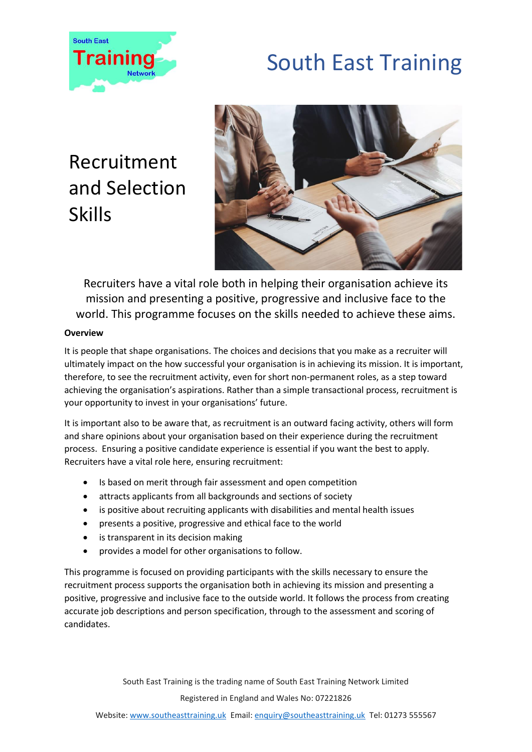

# South East Training

### Recruitment and Selection **Skills**



Recruiters have a vital role both in helping their organisation achieve its mission and presenting a positive, progressive and inclusive face to the world. This programme focuses on the skills needed to achieve these aims.

### **Overview**

It is people that shape organisations. The choices and decisions that you make as a recruiter will ultimately impact on the how successful your organisation is in achieving its mission. It is important, therefore, to see the recruitment activity, even for short non-permanent roles, as a step toward achieving the organisation's aspirations. Rather than a simple transactional process, recruitment is your opportunity to invest in your organisations' future.

It is important also to be aware that, as recruitment is an outward facing activity, others will form and share opinions about your organisation based on their experience during the recruitment process. Ensuring a positive candidate experience is essential if you want the best to apply. Recruiters have a vital role here, ensuring recruitment:

- Is based on merit through fair assessment and open competition
- attracts applicants from all backgrounds and sections of society
- is positive about recruiting applicants with disabilities and mental health issues
- presents a positive, progressive and ethical face to the world
- is transparent in its decision making
- provides a model for other organisations to follow.

This programme is focused on providing participants with the skills necessary to ensure the recruitment process supports the organisation both in achieving its mission and presenting a positive, progressive and inclusive face to the outside world. It follows the process from creating accurate job descriptions and person specification, through to the assessment and scoring of candidates.

> South East Training is the trading name of South East Training Network Limited Registered in England and Wales No: 07221826